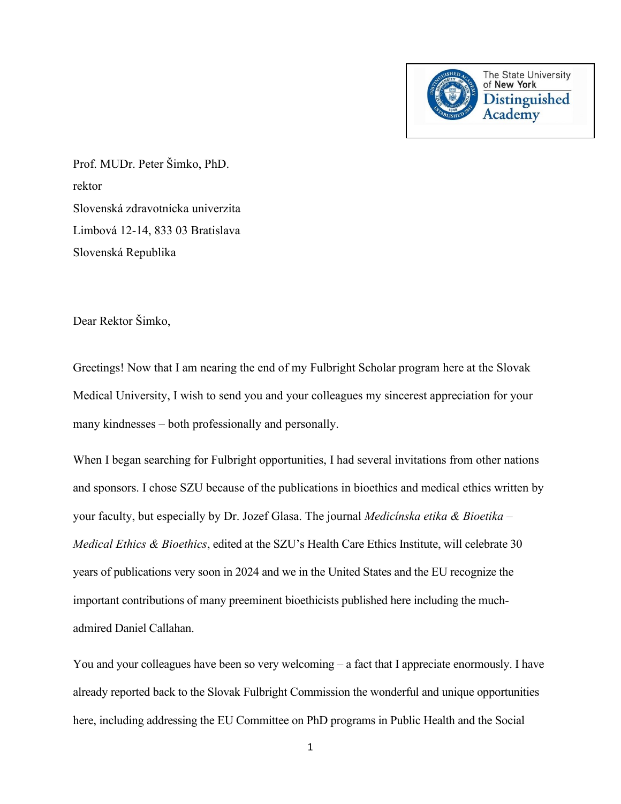

Prof. MUDr. Peter Šimko, PhD. rektor Slovenská zdravotnícka univerzita Limbová 12-14, 833 03 Bratislava Slovenská Republika

Dear Rektor Šimko,

Greetings! Now that I am nearing the end of my Fulbright Scholar program here at the Slovak Medical University, I wish to send you and your colleagues my sincerest appreciation for your many kindnesses – both professionally and personally.

When I began searching for Fulbright opportunities, I had several invitations from other nations and sponsors. I chose SZU because of the publications in bioethics and medical ethics written by your faculty, but especially by Dr. Jozef Glasa. The journal *Medicínska etika & Bioetika – Medical Ethics & Bioethics*, edited at the SZU's Health Care Ethics Institute, will celebrate 30 years of publications very soon in 2024 and we in the United States and the EU recognize the important contributions of many preeminent bioethicists published here including the muchadmired Daniel Callahan.

You and your colleagues have been so very welcoming – a fact that I appreciate enormously. I have already reported back to the Slovak Fulbright Commission the wonderful and unique opportunities here, including addressing the EU Committee on PhD programs in Public Health and the Social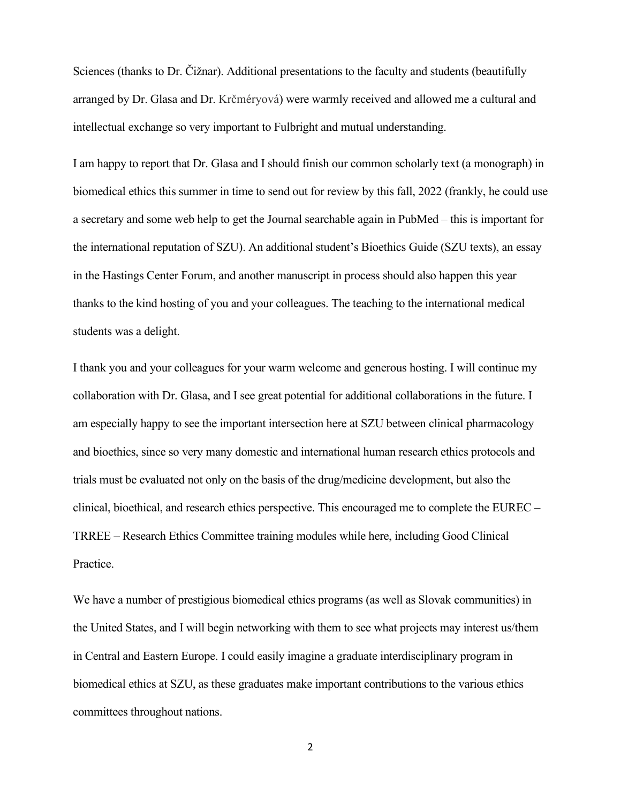Sciences (thanks to Dr. Čižnar). Additional presentations to the faculty and students (beautifully arranged by Dr. Glasa and Dr. Krčméryová) were warmly received and allowed me a cultural and intellectual exchange so very important to Fulbright and mutual understanding.

I am happy to report that Dr. Glasa and I should finish our common scholarly text (a monograph) in biomedical ethics this summer in time to send out for review by this fall, 2022 (frankly, he could use a secretary and some web help to get the Journal searchable again in PubMed – this is important for the international reputation of SZU). An additional student's Bioethics Guide (SZU texts), an essay in the Hastings Center Forum, and another manuscript in process should also happen this year thanks to the kind hosting of you and your colleagues. The teaching to the international medical students was a delight.

I thank you and your colleagues for your warm welcome and generous hosting. I will continue my collaboration with Dr. Glasa, and I see great potential for additional collaborations in the future. I am especially happy to see the important intersection here at SZU between clinical pharmacology and bioethics, since so very many domestic and international human research ethics protocols and trials must be evaluated not only on the basis of the drug/medicine development, but also the clinical, bioethical, and research ethics perspective. This encouraged me to complete the EUREC – TRREE – Research Ethics Committee training modules while here, including Good Clinical Practice.

We have a number of prestigious biomedical ethics programs (as well as Slovak communities) in the United States, and I will begin networking with them to see what projects may interest us/them in Central and Eastern Europe. I could easily imagine a graduate interdisciplinary program in biomedical ethics at SZU, as these graduates make important contributions to the various ethics committees throughout nations.

2